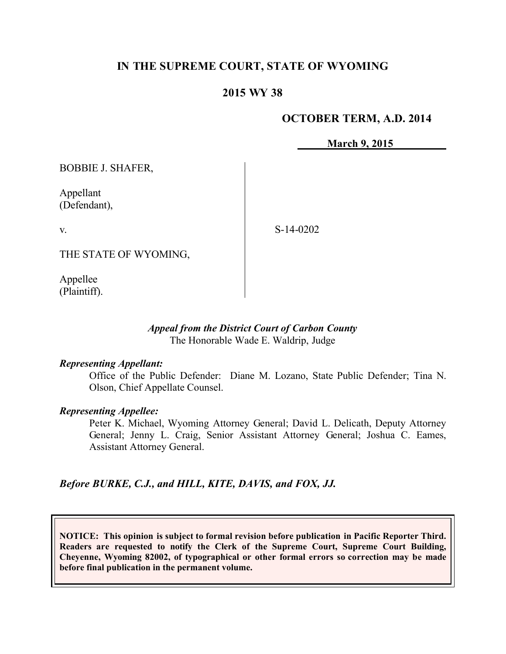# **IN THE SUPREME COURT, STATE OF WYOMING**

# **2015 WY 38**

# **OCTOBER TERM, A.D. 2014**

**March 9, 2015**

BOBBIE J. SHAFER,

Appellant (Defendant),

v.

S-14-0202

THE STATE OF WYOMING,

Appellee (Plaintiff).

# *Appeal from the District Court of Carbon County* The Honorable Wade E. Waldrip, Judge

### *Representing Appellant:*

Office of the Public Defender: Diane M. Lozano, State Public Defender; Tina N. Olson, Chief Appellate Counsel.

### *Representing Appellee:*

Peter K. Michael, Wyoming Attorney General; David L. Delicath, Deputy Attorney General; Jenny L. Craig, Senior Assistant Attorney General; Joshua C. Eames, Assistant Attorney General.

*Before BURKE, C.J., and HILL, KITE, DAVIS, and FOX, JJ.*

**NOTICE: This opinion is subject to formal revision before publication in Pacific Reporter Third. Readers are requested to notify the Clerk of the Supreme Court, Supreme Court Building, Cheyenne, Wyoming 82002, of typographical or other formal errors so correction may be made before final publication in the permanent volume.**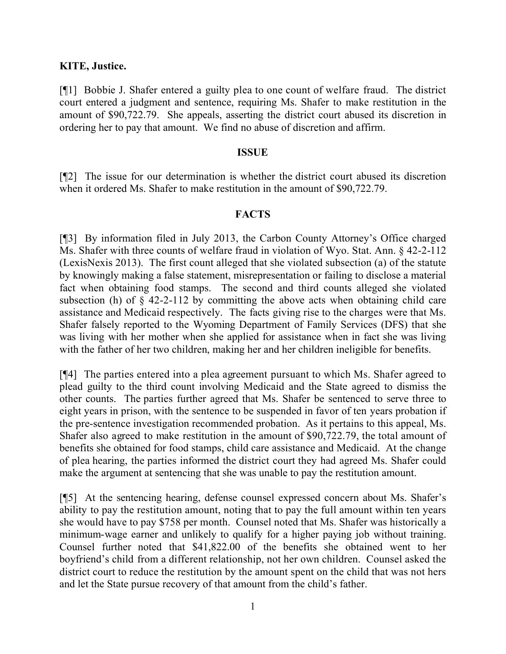# **KITE, Justice.**

[¶1] Bobbie J. Shafer entered a guilty plea to one count of welfare fraud. The district court entered a judgment and sentence, requiring Ms. Shafer to make restitution in the amount of \$90,722.79. She appeals, asserting the district court abused its discretion in ordering her to pay that amount. We find no abuse of discretion and affirm.

### **ISSUE**

[¶2] The issue for our determination is whether the district court abused its discretion when it ordered Ms. Shafer to make restitution in the amount of \$90,722.79.

# **FACTS**

[¶3] By information filed in July 2013, the Carbon County Attorney's Office charged Ms. Shafer with three counts of welfare fraud in violation of Wyo. Stat. Ann. § 42-2-112 (LexisNexis 2013). The first count alleged that she violated subsection (a) of the statute by knowingly making a false statement, misrepresentation or failing to disclose a material fact when obtaining food stamps. The second and third counts alleged she violated subsection (h) of  $\S$  42-2-112 by committing the above acts when obtaining child care assistance and Medicaid respectively. The facts giving rise to the charges were that Ms. Shafer falsely reported to the Wyoming Department of Family Services (DFS) that she was living with her mother when she applied for assistance when in fact she was living with the father of her two children, making her and her children ineligible for benefits.

[¶4] The parties entered into a plea agreement pursuant to which Ms. Shafer agreed to plead guilty to the third count involving Medicaid and the State agreed to dismiss the other counts. The parties further agreed that Ms. Shafer be sentenced to serve three to eight years in prison, with the sentence to be suspended in favor of ten years probation if the pre-sentence investigation recommended probation. As it pertains to this appeal, Ms. Shafer also agreed to make restitution in the amount of \$90,722.79, the total amount of benefits she obtained for food stamps, child care assistance and Medicaid. At the change of plea hearing, the parties informed the district court they had agreed Ms. Shafer could make the argument at sentencing that she was unable to pay the restitution amount.

[¶5] At the sentencing hearing, defense counsel expressed concern about Ms. Shafer's ability to pay the restitution amount, noting that to pay the full amount within ten years she would have to pay \$758 per month. Counsel noted that Ms. Shafer was historically a minimum-wage earner and unlikely to qualify for a higher paying job without training. Counsel further noted that \$41,822.00 of the benefits she obtained went to her boyfriend's child from a different relationship, not her own children. Counsel asked the district court to reduce the restitution by the amount spent on the child that was not hers and let the State pursue recovery of that amount from the child's father.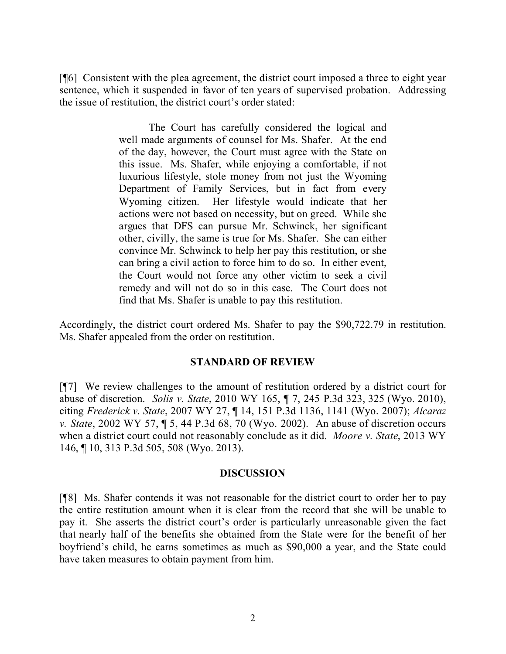[¶6] Consistent with the plea agreement, the district court imposed a three to eight year sentence, which it suspended in favor of ten years of supervised probation. Addressing the issue of restitution, the district court's order stated:

> The Court has carefully considered the logical and well made arguments of counsel for Ms. Shafer. At the end of the day, however, the Court must agree with the State on this issue. Ms. Shafer, while enjoying a comfortable, if not luxurious lifestyle, stole money from not just the Wyoming Department of Family Services, but in fact from every Wyoming citizen. Her lifestyle would indicate that her actions were not based on necessity, but on greed. While she argues that DFS can pursue Mr. Schwinck, her significant other, civilly, the same is true for Ms. Shafer. She can either convince Mr. Schwinck to help her pay this restitution, or she can bring a civil action to force him to do so. In either event, the Court would not force any other victim to seek a civil remedy and will not do so in this case. The Court does not find that Ms. Shafer is unable to pay this restitution.

Accordingly, the district court ordered Ms. Shafer to pay the \$90,722.79 in restitution. Ms. Shafer appealed from the order on restitution.

# **STANDARD OF REVIEW**

[¶7] We review challenges to the amount of restitution ordered by a district court for abuse of discretion. *Solis v. State*, 2010 WY 165, ¶ 7, 245 P.3d 323, 325 (Wyo. 2010), citing *Frederick v. State*, 2007 WY 27, ¶ 14, 151 P.3d 1136, 1141 (Wyo. 2007); *Alcaraz v. State*, 2002 WY 57, ¶ 5, 44 P.3d 68, 70 (Wyo. 2002). An abuse of discretion occurs when a district court could not reasonably conclude as it did. *Moore v. State*, 2013 WY 146, ¶ 10, 313 P.3d 505, 508 (Wyo. 2013).

### **DISCUSSION**

[¶8] Ms. Shafer contends it was not reasonable for the district court to order her to pay the entire restitution amount when it is clear from the record that she will be unable to pay it. She asserts the district court's order is particularly unreasonable given the fact that nearly half of the benefits she obtained from the State were for the benefit of her boyfriend's child, he earns sometimes as much as \$90,000 a year, and the State could have taken measures to obtain payment from him.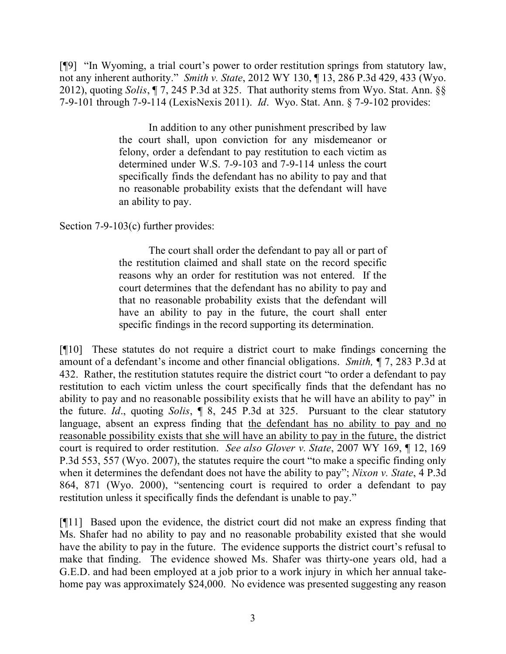[¶9] "In Wyoming, a trial court's power to order restitution springs from statutory law, not any inherent authority." *Smith v. State*, 2012 WY 130, ¶ 13, 286 P.3d 429, 433 (Wyo. 2012), quoting *Solis*, ¶ 7, 245 P.3d at 325. That authority stems from Wyo. Stat. Ann. §§ 7-9-101 through 7-9-114 (LexisNexis 2011). *Id*. Wyo. Stat. Ann. § 7-9-102 provides:

> In addition to any other punishment prescribed by law the court shall, upon conviction for any misdemeanor or felony, order a defendant to pay restitution to each victim as determined under W.S. 7-9-103 and 7-9-114 unless the court specifically finds the defendant has no ability to pay and that no reasonable probability exists that the defendant will have an ability to pay.

Section 7-9-103(c) further provides:

The court shall order the defendant to pay all or part of the restitution claimed and shall state on the record specific reasons why an order for restitution was not entered. If the court determines that the defendant has no ability to pay and that no reasonable probability exists that the defendant will have an ability to pay in the future, the court shall enter specific findings in the record supporting its determination.

[¶10] These statutes do not require a district court to make findings concerning the amount of a defendant's income and other financial obligations. *Smith,* ¶ 7, 283 P.3d at 432. Rather, the restitution statutes require the district court "to order a defendant to pay restitution to each victim unless the court specifically finds that the defendant has no ability to pay and no reasonable possibility exists that he will have an ability to pay" in the future. *Id*., quoting *Solis*, ¶ 8, 245 P.3d at 325. Pursuant to the clear statutory language, absent an express finding that the defendant has no ability to pay and no reasonable possibility exists that she will have an ability to pay in the future, the district court is required to order restitution. *See also Glover v. State*, 2007 WY 169, ¶ 12, 169 P.3d 553, 557 (Wyo. 2007), the statutes require the court "to make a specific finding only when it determines the defendant does not have the ability to pay"; *Nixon v. State*, 4 P.3d 864, 871 (Wyo. 2000), "sentencing court is required to order a defendant to pay restitution unless it specifically finds the defendant is unable to pay."

[¶11] Based upon the evidence, the district court did not make an express finding that Ms. Shafer had no ability to pay and no reasonable probability existed that she would have the ability to pay in the future. The evidence supports the district court's refusal to make that finding. The evidence showed Ms. Shafer was thirty-one years old, had a G.E.D. and had been employed at a job prior to a work injury in which her annual takehome pay was approximately \$24,000. No evidence was presented suggesting any reason